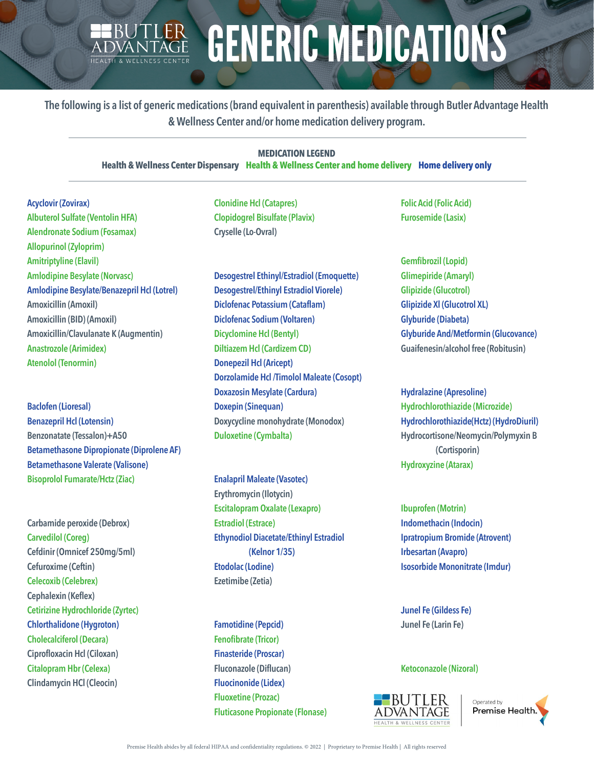## BUTLER GENERIC MEDICATIONS

**The following is a list of generic medications (brand equivalent in parenthesis) available through Butler Advantage Health & Wellness Center and/or home medication delivery program.**

## **MEDICATION LEGEND**

**Health & Wellness Center Dispensary Health & Wellness Center and home delivery Home delivery only**

**Acyclovir (Zovirax) Albuterol Sulfate (Ventolin HFA) Alendronate Sodium (Fosamax) Allopurinol (Zyloprim) Amitriptyline (Elavil) Amlodipine Besylate (Norvasc) Amlodipine Besylate/Benazepril Hcl (Lotrel) Amoxicillin (Amoxil) Amoxicillin (BID) (Amoxil) Amoxicillin/Clavulanate K (Augmentin) Anastrozole (Arimidex) Atenolol (Tenormin)**

**Baclofen (Lioresal) Benazepril Hcl (Lotensin) Benzonatate (Tessalon)+A50 Betamethasone Dipropionate (Diprolene AF) Betamethasone Valerate (Valisone) Bisoprolol Fumarate/Hctz (Ziac)**

**Carbamide peroxide (Debrox) Carvedilol (Coreg) Cefdinir (Omnicef 250mg/5ml) Cefuroxime (Ceftin) Celecoxib (Celebrex) Cephalexin (Keflex) Cetirizine Hydrochloride (Zyrtec) Chlorthalidone (Hygroton) Cholecalciferol (Decara) Ciprofloxacin Hcl (Ciloxan) Citalopram Hbr (Celexa) Clindamycin HCl (Cleocin)**

**Clonidine Hcl (Catapres) Clopidogrel Bisulfate (Plavix) Cryselle (Lo-Ovral)**

**Desogestrel Ethinyl/Estradiol (Emoquette) Desogestrel/Ethinyl Estradiol Viorele) Diclofenac Potassium (Cataflam) Diclofenac Sodium (Voltaren) Dicyclomine Hcl (Bentyl) Diltiazem Hcl (Cardizem CD) Donepezil Hcl (Aricept) Dorzolamide Hcl /Timolol Maleate (Cosopt) Doxazosin Mesylate (Cardura) Doxepin (Sinequan) Doxycycline monohydrate (Monodox) Duloxetine (Cymbalta)**

**Enalapril Maleate (Vasotec) Erythromycin (Ilotycin) Escitalopram Oxalate (Lexapro) Estradiol (Estrace) Ethynodiol Diacetate/Ethinyl Estradiol (Kelnor 1/35) Etodolac (Lodine) Ezetimibe (Zetia)**

**Famotidine (Pepcid) Fenofibrate (Tricor) Finasteride (Proscar) Fluconazole (Diflucan) Fluocinonide (Lidex) Fluoxetine (Prozac) Fluticasone Propionate (Flonase)** **Folic Acid (Folic Acid) Furosemide (Lasix)**

**Gemfibrozil (Lopid) Glimepiride (Amaryl) Glipizide (Glucotrol) Glipizide Xl (Glucotrol XL) Glyburide (Diabeta) Glyburide And/Metformin (Glucovance) Guaifenesin/alcohol free (Robitusin)**

**Hydralazine (Apresoline) Hydrochlorothiazide (Microzide) Hydrochlorothiazide(Hctz) (HydroDiuril) Hydrocortisone/Neomycin/Polymyxin B (Cortisporin) Hydroxyzine (Atarax)**

**Ibuprofen (Motrin) Indomethacin (Indocin) Ipratropium Bromide (Atrovent) Irbesartan (Avapro) Isosorbide Mononitrate (Imdur)**

**Junel Fe (Gildess Fe) Junel Fe (Larin Fe)**

## **Ketoconazole (Nizoral)**



Operated by Premise Health,